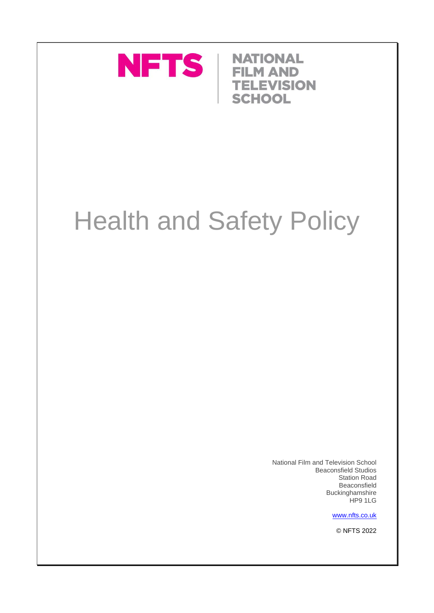

**NATIONAL FILM AND TELEVISION SCHOOL** 

# Health and Safety Policy

National Film and Television School Beaconsfield Studios Station Road Beaconsfield Buckinghamshire HP9 1LG

[www.nfts.co.uk](http://www.nfts.co.uk/)

© NFTS 2022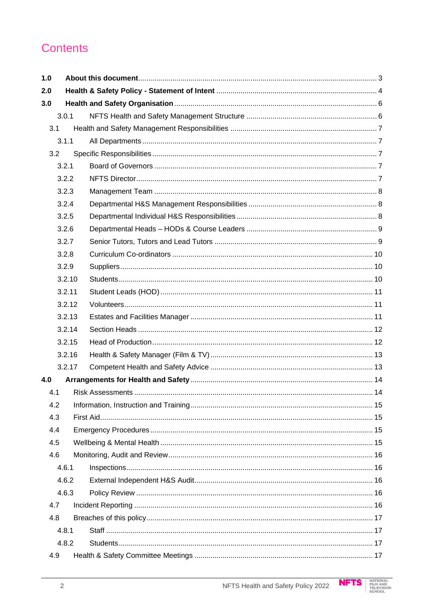# Contents

| 1.0            |        |  |  |
|----------------|--------|--|--|
| 2.0            |        |  |  |
| 3.0            |        |  |  |
|                | 3.0.1  |  |  |
| 3.1            |        |  |  |
|                | 3.1.1  |  |  |
|                | 3.2    |  |  |
|                | 3.2.1  |  |  |
| 3.2.2<br>3.2.3 |        |  |  |
|                |        |  |  |
|                | 3.2.4  |  |  |
|                | 3.2.5  |  |  |
|                | 3.2.6  |  |  |
|                | 3.2.7  |  |  |
|                | 3.2.8  |  |  |
|                | 3.2.9  |  |  |
|                | 3.2.10 |  |  |
|                | 3.2.11 |  |  |
|                | 3.2.12 |  |  |
| 3.2.13         |        |  |  |
| 3.2.14         |        |  |  |
| 3.2.15         |        |  |  |
|                | 3.2.16 |  |  |
|                | 3.2.17 |  |  |
| 4.0            |        |  |  |
| 4.1            |        |  |  |
| 4.2            |        |  |  |
| 4.3            |        |  |  |
| 4.4            |        |  |  |
| 4.5            |        |  |  |
| 4.6            |        |  |  |
|                | 4.6.1  |  |  |
|                | 4.6.2  |  |  |
| 4.6.3          |        |  |  |
| 4.7            |        |  |  |
| 4.8            |        |  |  |
| 4.8.1          |        |  |  |
| 4.8.2          |        |  |  |
| 4.9            |        |  |  |

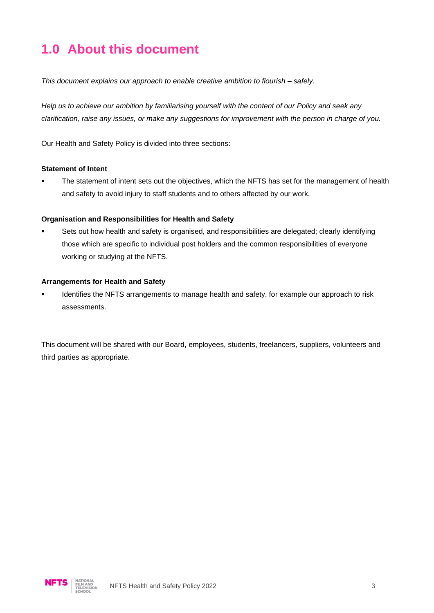# **1.0 About this document**

*This document explains our approach to enable creative ambition to flourish – safely.*

*Help us to achieve our ambition by familiarising yourself with the content of our Policy and seek any clarification, raise any issues, or make any suggestions for improvement with the person in charge of you.*

Our Health and Safety Policy is divided into three sections:

#### **Statement of Intent**

**•** The statement of intent sets out the objectives, which the NFTS has set for the management of health and safety to avoid injury to staff students and to others affected by our work.

#### **Organisation and Responsibilities for Health and Safety**

Sets out how health and safety is organised, and responsibilities are delegated; clearly identifying those which are specific to individual post holders and the common responsibilities of everyone working or studying at the NFTS.

#### **Arrangements for Health and Safety**

Identifies the NFTS arrangements to manage health and safety, for example our approach to risk assessments.

This document will be shared with our Board, employees, students, freelancers, suppliers, volunteers and third parties as appropriate.

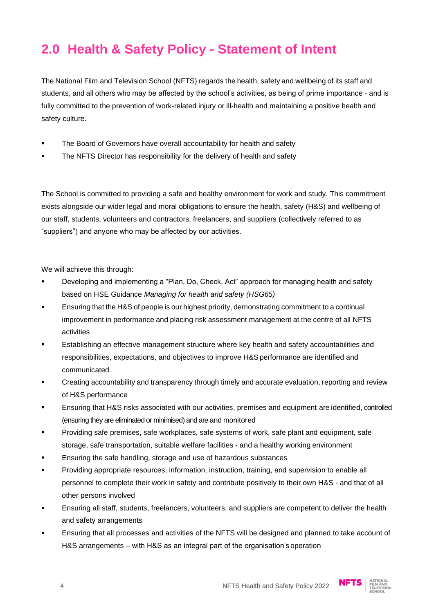# **2.0 Health & Safety Policy - Statement of Intent**

The National Film and Television School (NFTS) regards the health, safetyand wellbeing of its staff and students, and all others who may be affected by the school's activities, as being of prime importance - and is fully committed to the prevention of work-related injury or ill-health and maintaining a positive health and safety culture.

- **EXECO** The Board of Governors have overall accountability for health and safety
- The NFTS Director has responsibility for the delivery of health and safety

The School is committed to providing a safe and healthy environment for work and study. This commitment exists alongside our wider legal and moral obligations to ensure the health, safety (H&S) and wellbeing of our staff, students, volunteers and contractors, freelancers, and suppliers (collectively referred to as "suppliers") and anyone who may be affected by our activities.

We will achieve this through:

- Developing and implementing a "Plan, Do, Check, Act" approach for managing health and safety based on HSE Guidance *Managing for health and safety (HSG65)*
- Ensuring that the H&S of people is our highest priority, demonstrating commitment to a continual improvement in performance and placing risk assessment management at the centre of all NFTS activities
- **E** Establishing an effective management structure where key health and safety accountabilities and responsibilities, expectations, and objectives to improve H&S performance are identified and communicated.
- Creating accountability and transparency through timely and accurate evaluation, reporting and review of H&S performance
- **Ensuring that H&S risks associated with our activities, premises and equipment are identified, controlled** (ensuring they are eliminated or minimised) and are and monitored
- Providing safe premises, safe workplaces, safe systems of work, safe plant and equipment, safe storage, safe transportation, suitable welfare facilities - and a healthy working environment
- Ensuring the safe handling, storage and use of hazardous substances
- Providing appropriate resources, information, instruction, training, and supervision to enable all personnel to complete their work in safety and contribute positively to their own H&S - and that of all other persons involved
- Ensuring all staff, students, freelancers, volunteers, and suppliers are competent to deliver the health and safety arrangements
- Ensuring that all processes and activities of the NFTS will be designed and planned to take account of H&S arrangements – with H&S as an integral part of the organisation'soperation

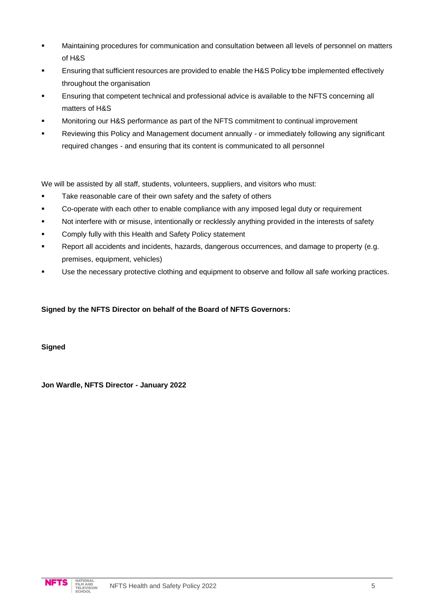- Maintaining procedures for communication and consultation between all levels of personnel on matters of H&S
- **Ensuring that sufficient resources are provided to enable the H&S Policy to be implemented effectively** throughout the organisation
- Ensuring that competent technical and professional advice is available to the NFTS concerning all matters of H&S
- Monitoring our H&S performance as part of the NFTS commitment to continual improvement
- Reviewing this Policy and Management document annually or immediately following any significant required changes - and ensuring that its content is communicated to all personnel

We will be assisted by all staff, students, volunteers, suppliers, and visitors who must:

- Take reasonable care of their own safety and the safety of others
- Co-operate with each other to enable compliance with any imposed legal duty or requirement
- Not interfere with or misuse, intentionally or recklessly anything provided in the interests of safety
- Comply fully with this Health and Safety Policy statement
- Report all accidents and incidents, hazards, dangerous occurrences, and damage to property (e.g. premises, equipment, vehicles)
- Use the necessary protective clothing and equipment to observe and follow all safe working practices.

#### **Signed by the NFTS Director on behalf of the Board of NFTS Governors:**

**Signed**

**Jon Wardle, NFTS Director - January 2022**

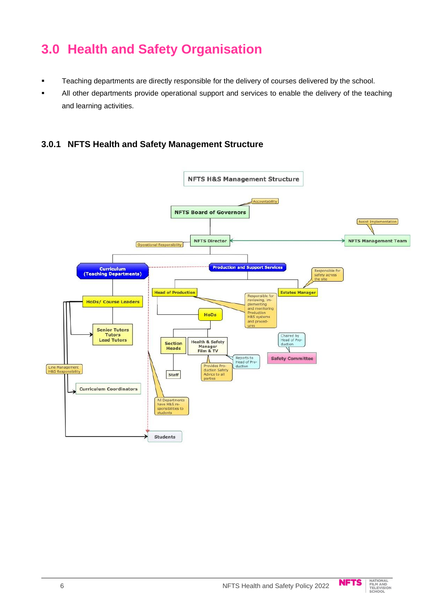# **3.0 Health and Safety Organisation**

- Teaching departments are directly responsible for the delivery of courses delivered by the school.
- All other departments provide operational support and services to enable the delivery of the teaching and learning activities.

#### **3.0.1 NFTS Health and Safety Management Structure**



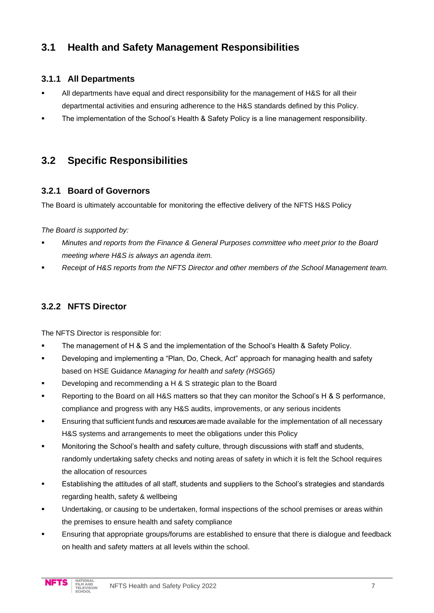# **3.1 Health and Safety Management Responsibilities**

#### **3.1.1 All Departments**

- All departments have equal and direct responsibility for the management of H&S for all their departmental activities and ensuring adherence to the H&S standards defined by this Policy.
- The implementation of the School's Health & Safety Policy is a line management responsibility.

## **3.2 Specific Responsibilities**

#### **3.2.1 Board of Governors**

The Board is ultimately accountable for monitoring the effective delivery of the NFTS H&S Policy

*The Board is supported by:*

- *Minutes and reports from the Finance & General Purposes committee who meet prior to the Board meeting where H&S is always an agenda item.*
- Receipt of H&S reports from the NFTS Director and other members of the School Management team.

#### **3.2.2 NFTS Director**

The NFTS Director is responsible for:

- The management of H & S and the implementation of the School's Health & Safety Policy.
- Developing and implementing a "Plan, Do, Check, Act" approach for managing health and safety based on HSE Guidance *Managing for health and safety (HSG65)*
- Developing and recommending a H & S strategic plan to the Board
- Reporting to the Board on all H&S matters so that they can monitor the School's H & S performance, compliance and progress with any H&S audits, improvements, or any serious incidents
- Ensuring that sufficient funds and resources are made available for the implementation of all necessary H&S systems and arrangements to meet the obligations under this Policy
- Monitoring the School's health and safety culture, through discussions with staff and students, randomly undertaking safety checks and noting areas of safety in which it is felt the School requires the allocation of resources
- Establishing the attitudes of all staff, students and suppliers to the School's strategies and standards regarding health, safety & wellbeing
- Undertaking, or causing to be undertaken, formal inspections of the school premises or areas within the premises to ensure health and safety compliance
- Ensuring that appropriate groups/forums are established to ensure that there is dialogue and feedback on health and safety matters at all levels within the school.

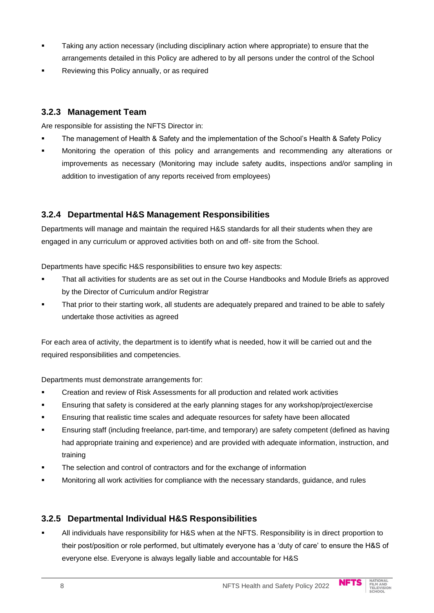- Taking any action necessary (including disciplinary action where appropriate) to ensure that the arrangements detailed in this Policy are adhered to by all persons under the control of the School
- Reviewing this Policy annually, or as required

#### **3.2.3 Management Team**

Are responsible for assisting the NFTS Director in:

- The management of Health & Safety and the implementation of the School's Health & Safety Policy
- Monitoring the operation of this policy and arrangements and recommending any alterations or improvements as necessary (Monitoring may include safety audits, inspections and/or sampling in addition to investigation of any reports received from employees)

#### **3.2.4 Departmental H&S Management Responsibilities**

Departments will manage and maintain the required H&S standards for all their students when they are engaged in any curriculum or approved activities both on and off- site from the School.

Departments have specific H&S responsibilities to ensure two key aspects:

- **·** That all activities for students are as set out in the Course Handbooks and Module Briefs as approved by the Director of Curriculum and/or Registrar
- That prior to their starting work, all students are adequately prepared and trained to be able to safely undertake those activities as agreed

For each area of activity, the department is to identify what is needed, how it will be carried out and the required responsibilities and competencies.

Departments must demonstrate arrangements for:

- Creation and review of Risk Assessments for all production and related work activities
- Ensuring that safety is considered at the early planning stages for any workshop/project/exercise
- Ensuring that realistic time scales and adequate resources for safety have been allocated
- **Ensuring staff (including freelance, part-time, and temporary) are safety competent (defined as having** had appropriate training and experience) and are provided with adequate information, instruction, and training
- The selection and control of contractors and for the exchange of information
- Monitoring all work activities for compliance with the necessary standards, guidance, and rules

#### **3.2.5 Departmental Individual H&S Responsibilities**

All individuals have responsibility for H&S when at the NFTS. Responsibility is in direct proportion to their post/position or role performed, but ultimately everyone has a 'duty of care' to ensure the H&S of everyone else. Everyone is always legally liable and accountable for H&S

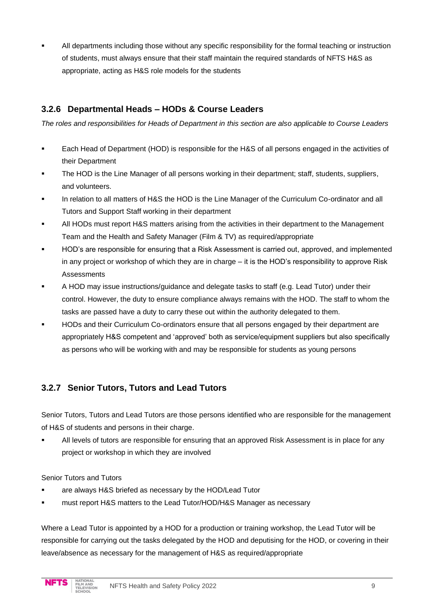All departments including those without any specific responsibility for the formal teaching or instruction of students, must always ensure that their staff maintain the required standards of NFTS H&S as appropriate, acting as H&S role models for the students

#### **3.2.6 Departmental Heads – HODs & Course Leaders**

*The roles and responsibilities for Heads of Department in this section are also applicable to Course Leaders*

- Each Head of Department (HOD) is responsible for the H&S of all persons engaged in the activities of their Department
- The HOD is the Line Manager of all persons working in their department; staff, students, suppliers, and volunteers.
- In relation to all matters of H&S the HOD is the Line Manager of the Curriculum Co-ordinator and all Tutors and Support Staff working in their department
- All HODs must report H&S matters arising from the activities in their department to the Management Team and the Health and Safety Manager (Film & TV) as required/appropriate
- HOD's are responsible for ensuring that a Risk Assessment is carried out, approved, and implemented in any project or workshop of which they are in charge – it is the HOD's responsibility to approve Risk **Assessments**
- A HOD may issue instructions/guidance and delegate tasks to staff (e.g. Lead Tutor) under their control. However, the duty to ensure compliance always remains with the HOD. The staff to whom the tasks are passed have a duty to carry these out within the authority delegated to them.
- HODs and their Curriculum Co-ordinators ensure that all persons engaged by their department are appropriately H&S competent and 'approved' both as service/equipment suppliers but also specifically as persons who will be working with and may be responsible for students as young persons

#### **3.2.7 Senior Tutors, Tutors and Lead Tutors**

Senior Tutors, Tutors and Lead Tutors are those persons identified who are responsible for the management of H&S of students and persons in their charge.

**EXECT** All levels of tutors are responsible for ensuring that an approved Risk Assessment is in place for any project or workshop in which they are involved

Senior Tutors and Tutors

- are always H&S briefed as necessary by the HOD/Lead Tutor
- must report H&S matters to the Lead Tutor/HOD/H&S Manager as necessary

Where a Lead Tutor is appointed by a HOD for a production or training workshop, the Lead Tutor will be responsible for carrying out the tasks delegated by the HOD and deputising for the HOD, or covering in their leave/absence as necessary for the management of H&S as required/appropriate

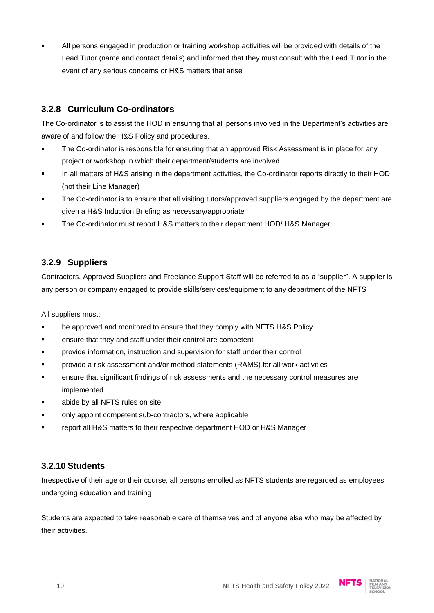All persons engaged in production or training workshop activities will be provided with details of the Lead Tutor (name and contact details) and informed that they must consult with the Lead Tutor in the event of any serious concerns or H&S matters that arise

#### **3.2.8 Curriculum Co-ordinators**

The Co-ordinator is to assist the HOD in ensuring that all persons involved in the Department's activities are aware of and follow the H&S Policy and procedures.

- **The Co-ordinator is responsible for ensuring that an approved Risk Assessment is in place for any** project or workshop in which their department/students are involved
- In all matters of H&S arising in the department activities, the Co-ordinator reports directly to their HOD (not their Line Manager)
- The Co-ordinator is to ensure that all visiting tutors/approved suppliers engaged by the department are given a H&S Induction Briefing as necessary/appropriate
- The Co-ordinator must report H&S matters to their department HOD/ H&S Manager

#### **3.2.9 Suppliers**

Contractors, Approved Suppliers and Freelance Support Staff will be referred to as a "supplier". A supplier is any person or company engaged to provide skills/services/equipment to any department of the NFTS

All suppliers must:

- be approved and monitored to ensure that they comply with NFTS H&S Policy
- ensure that they and staff under their control are competent
- provide information, instruction and supervision for staff under their control
- provide a risk assessment and/or method statements (RAMS) for all work activities
- ensure that significant findings of risk assessments and the necessary control measures are implemented
- abide by all NFTS rules on site
- only appoint competent sub-contractors, where applicable
- report all H&S matters to their respective department HOD or H&S Manager

#### **3.2.10 Students**

Irrespective of their age or their course, all persons enrolled as NFTS students are regarded as employees undergoing education and training

Students are expected to take reasonable care of themselves and of anyone else who may be affected by their activities.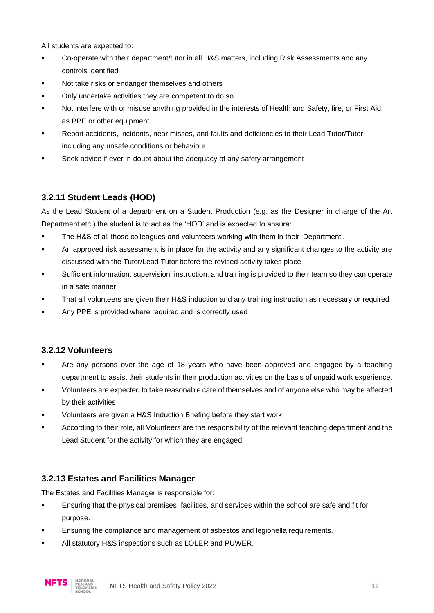All students are expected to:

- Co-operate with their department/tutor in all H&S matters, including Risk Assessments and any controls identified
- Not take risks or endanger themselves and others
- Only undertake activities they are competent to do so
- Not interfere with or misuse anything provided in the interests of Health and Safety, fire, or First Aid, as PPE or other equipment
- Report accidents, incidents, near misses, and faults and deficiencies to their Lead Tutor/Tutor including any unsafe conditions or behaviour
- Seek advice if ever in doubt about the adequacy of any safety arrangement

#### **3.2.11 Student Leads (HOD)**

As the Lead Student of a department on a Student Production (e.g. as the Designer in charge of the Art Department etc.) the student is to act as the 'HOD' and is expected to ensure:

- The H&S of all those colleagues and volunteers working with them in their 'Department'.
- **EXECT** An approved risk assessment is in place for the activity and any significant changes to the activity are discussed with the Tutor/Lead Tutor before the revised activity takes place
- Sufficient information, supervision, instruction, and training is provided to their team so they can operate in a safe manner
- That all volunteers are given their H&S induction and any training instruction as necessary or required
- Any PPE is provided where required and is correctly used

#### **3.2.12 Volunteers**

- Are any persons over the age of 18 years who have been approved and engaged by a teaching department to assist their students in their production activities on the basis of unpaid work experience.
- Volunteers are expected to take reasonable care of themselves and of anyone else who may be affected by their activities
- Volunteers are given a H&S Induction Briefing before they start work
- According to their role, all Volunteers are the responsibility of the relevant teaching department and the Lead Student for the activity for which they are engaged

#### **3.2.13 Estates and Facilities Manager**

The Estates and Facilities Manager is responsible for:

- Ensuring that the physical premises, facilities, and services within the school are safe and fit for purpose.
- Ensuring the compliance and management of asbestos and legionella requirements.
- All statutory H&S inspections such as LOLER and PUWER.

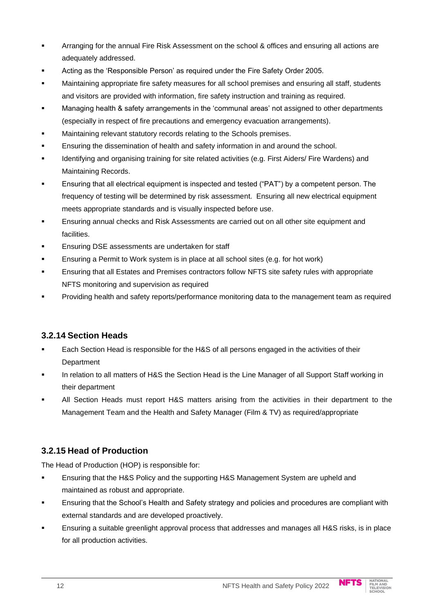- Arranging for the annual Fire Risk Assessment on the school & offices and ensuring all actions are adequately addressed.
- Acting as the 'Responsible Person' as required under the Fire Safety Order 2005.
- **■** Maintaining appropriate fire safety measures for all school premises and ensuring all staff, students and visitors are provided with information, fire safety instruction and training as required.
- Managing health & safety arrangements in the 'communal areas' not assigned to other departments (especially in respect of fire precautions and emergency evacuation arrangements).
- Maintaining relevant statutory records relating to the Schools premises.
- **Ensuring the dissemination of health and safety information in and around the school.**
- Identifying and organising training for site related activities (e.g. First Aiders/ Fire Wardens) and Maintaining Records.
- Ensuring that all electrical equipment is inspected and tested ("PAT") by a competent person. The frequency of testing will be determined by risk assessment. Ensuring all new electrical equipment meets appropriate standards and is visually inspected before use.
- Ensuring annual checks and Risk Assessments are carried out on all other site equipment and facilities.
- Ensuring DSE assessments are undertaken for staff
- **Ensuring a Permit to Work system is in place at all school sites (e.g. for hot work)**
- Ensuring that all Estates and Premises contractors follow NFTS site safety rules with appropriate NFTS monitoring and supervision as required
- Providing health and safety reports/performance monitoring data to the management team as required

#### **3.2.14 Section Heads**

- Each Section Head is responsible for the H&S of all persons engaged in the activities of their **Department**
- In relation to all matters of H&S the Section Head is the Line Manager of all Support Staff working in their department
- All Section Heads must report H&S matters arising from the activities in their department to the Management Team and the Health and Safety Manager (Film & TV) as required/appropriate

#### **3.2.15 Head of Production**

The Head of Production (HOP) is responsible for:

- **E**nsuring that the H&S Policy and the supporting H&S Management System are upheld and maintained as robust and appropriate.
- Ensuring that the School's Health and Safety strategy and policies and procedures are compliant with external standards and are developed proactively.
- Ensuring a suitable greenlight approval process that addresses and manages all H&S risks, is in place for all production activities.

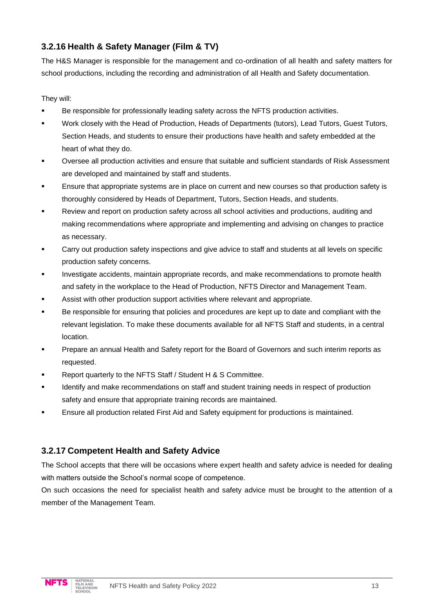#### **3.2.16 Health & Safety Manager (Film & TV)**

The H&S Manager is responsible for the management and co-ordination of all health and safety matters for school productions, including the recording and administration of all Health and Safety documentation.

#### They will:

- Be responsible for professionally leading safety across the NFTS production activities.
- Work closely with the Head of Production, Heads of Departments (tutors), Lead Tutors, Guest Tutors, Section Heads, and students to ensure their productions have health and safety embedded at the heart of what they do.
- Oversee all production activities and ensure that suitable and sufficient standards of Risk Assessment are developed and maintained by staff and students.
- Ensure that appropriate systems are in place on current and new courses so that production safety is thoroughly considered by Heads of Department, Tutors, Section Heads, and students.
- Review and report on production safety across all school activities and productions, auditing and making recommendations where appropriate and implementing and advising on changes to practice as necessary.
- **Carry out production safety inspections and give advice to staff and students at all levels on specific** production safety concerns.
- Investigate accidents, maintain appropriate records, and make recommendations to promote health and safety in the workplace to the Head of Production, NFTS Director and Management Team.
- Assist with other production support activities where relevant and appropriate.
- Be responsible for ensuring that policies and procedures are kept up to date and compliant with the relevant legislation. To make these documents available for all NFTS Staff and students, in a central location.
- Prepare an annual Health and Safety report for the Board of Governors and such interim reports as requested.
- Report quarterly to the NFTS Staff / Student H & S Committee.
- **■** Identify and make recommendations on staff and student training needs in respect of production safety and ensure that appropriate training records are maintained.
- Ensure all production related First Aid and Safety equipment for productions is maintained.

#### **3.2.17 Competent Health and Safety Advice**

The School accepts that there will be occasions where expert health and safety advice is needed for dealing with matters outside the School's normal scope of competence.

On such occasions the need for specialist health and safety advice must be brought to the attention of a member of the Management Team.

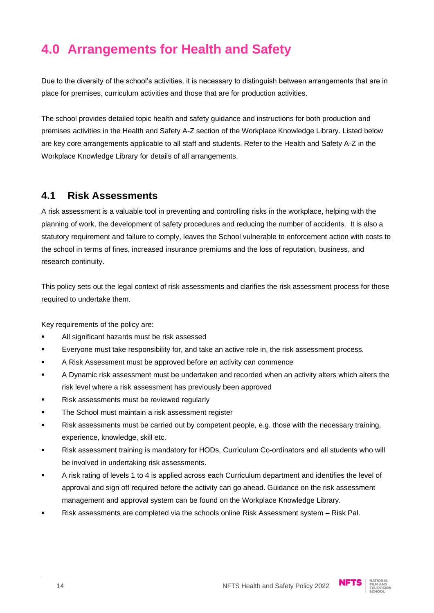# **4.0 Arrangements for Health and Safety**

Due to the diversity of the school's activities, it is necessary to distinguish between arrangements that are in place for premises, curriculum activities and those that are for production activities.

The school provides detailed topic health and safety guidance and instructions for both production and premises activities in the Health and Safety A-Z section of the Workplace Knowledge Library. Listed below are key core arrangements applicable to all staff and students. Refer to the Health and Safety A-Z in the Workplace Knowledge Library for details of all arrangements.

## **4.1 Risk Assessments**

A risk assessment is a valuable tool in preventing and controlling risks in the workplace, helping with the planning of work, the development of safety procedures and reducing the number of accidents. It is also a statutory requirement and failure to comply, leaves the School vulnerable to enforcement action with costs to the school in terms of fines, increased insurance premiums and the loss of reputation, business, and research continuity.

This policy sets out the legal context of risk assessments and clarifies the risk assessment process for those required to undertake them.

Key requirements of the policy are:

- All significant hazards must be risk assessed
- Everyone must take responsibility for, and take an active role in, the risk assessment process.
- A Risk Assessment must be approved before an activity can commence
- **A Dynamic risk assessment must be undertaken and recorded when an activity alters which alters the** risk level where a risk assessment has previously been approved
- Risk assessments must be reviewed regularly
- **The School must maintain a risk assessment register**
- Risk assessments must be carried out by competent people, e.g. those with the necessary training, experience, knowledge, skill etc.
- Risk assessment training is mandatory for HODs, Curriculum Co-ordinators and all students who will be involved in undertaking risk assessments.
- A risk rating of levels 1 to 4 is applied across each Curriculum department and identifies the level of approval and sign off required before the activity can go ahead. Guidance on the risk assessment management and approval system can be found on the Workplace Knowledge Library.
- Risk assessments are completed via the schools online Risk Assessment system Risk Pal.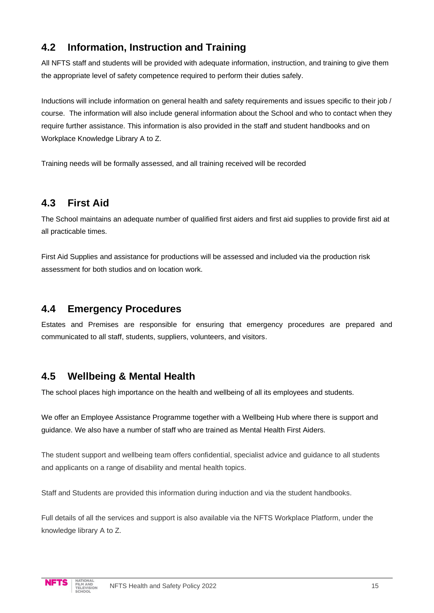# **4.2 Information, Instruction and Training**

All NFTS staff and students will be provided with adequate information, instruction, and training to give them the appropriate level of safety competence required to perform their duties safely.

Inductions will include information on general health and safety requirements and issues specific to their job / course. The information will also include general information about the School and who to contact when they require further assistance. This information is also provided in the staff and student handbooks and on Workplace Knowledge Library A to Z.

Training needs will be formally assessed, and all training received will be recorded

## **4.3 First Aid**

The School maintains an adequate number of qualified first aiders and first aid supplies to provide first aid at all practicable times.

First Aid Supplies and assistance for productions will be assessed and included via the production risk assessment for both studios and on location work.

### **4.4 Emergency Procedures**

Estates and Premises are responsible for ensuring that emergency procedures are prepared and communicated to all staff, students, suppliers, volunteers, and visitors.

## **4.5 Wellbeing & Mental Health**

The school places high importance on the health and wellbeing of all its employees and students.

We offer an Employee Assistance Programme together with a Wellbeing Hub where there is support and guidance. We also have a number of staff who are trained as Mental Health First Aiders.

The student support and wellbeing team offers confidential, specialist advice and guidance to all students and applicants on a range of disability and mental health topics.

Staff and Students are provided this information during induction and via the student handbooks.

Full details of all the services and support is also available via the NFTS Workplace Platform, under the knowledge library A to Z.

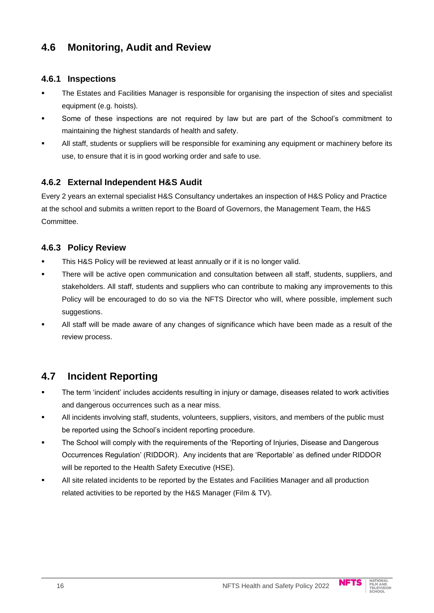# **4.6 Monitoring, Audit and Review**

#### **4.6.1 Inspections**

- The Estates and Facilities Manager is responsible for organising the inspection of sites and specialist equipment (e.g. hoists).
- Some of these inspections are not required by law but are part of the School's commitment to maintaining the highest standards of health and safety.
- All staff, students or suppliers will be responsible for examining any equipment or machinery before its use, to ensure that it is in good working order and safe to use.

#### **4.6.2 External Independent H&S Audit**

Every 2 years an external specialist H&S Consultancy undertakes an inspection of H&S Policy and Practice at the school and submits a written report to the Board of Governors, the Management Team, the H&S Committee.

#### **4.6.3 Policy Review**

- This H&S Policy will be reviewed at least annually or if it is no longer valid.
- There will be active open communication and consultation between all staff, students, suppliers, and stakeholders. All staff, students and suppliers who can contribute to making any improvements to this Policy will be encouraged to do so via the NFTS Director who will, where possible, implement such suggestions.
- All staff will be made aware of any changes of significance which have been made as a result of the review process.

# **4.7 Incident Reporting**

- The term 'incident' includes accidents resulting in injury or damage, diseases related to work activities and dangerous occurrences such as a near miss.
- All incidents involving staff, students, volunteers, suppliers, visitors, and members of the public must be reported using the School's incident reporting procedure.
- The School will comply with the requirements of the 'Reporting of Injuries, Disease and Dangerous Occurrences Regulation' (RIDDOR). Any incidents that are 'Reportable' as defined under RIDDOR will be reported to the Health Safety Executive (HSE).
- All site related incidents to be reported by the Estates and Facilities Manager and all production related activities to be reported by the H&S Manager (Film & TV).